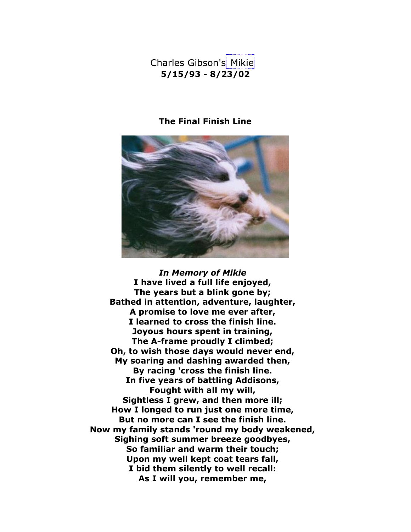Charles Gibson's Mikie **5/15/93 - 8/23/02**

## **The Final Finish Line**



*In Memory of Mikie* **I have lived a full life enjoyed, The years but a blink gone by; Bathed in attention, adventure, laughter, A promise to love me ever after, I learned to cross the finish line. Joyous hours spent in training, The A-frame proudly I climbed; Oh, to wish those days would never end, My soaring and dashing awarded then, By racing 'cross the finish line. In five years of battling Addisons, Fought with all my will, Sightless I grew, and then more ill; How I longed to run just one more time, But no more can I see the finish line. Now my family stands 'round my body weakened, Sighing soft summer breeze goodbyes, So familiar and warm their touch; Upon my well kept coat tears fall, I bid them silently to well recall: As I will you, remember me,**